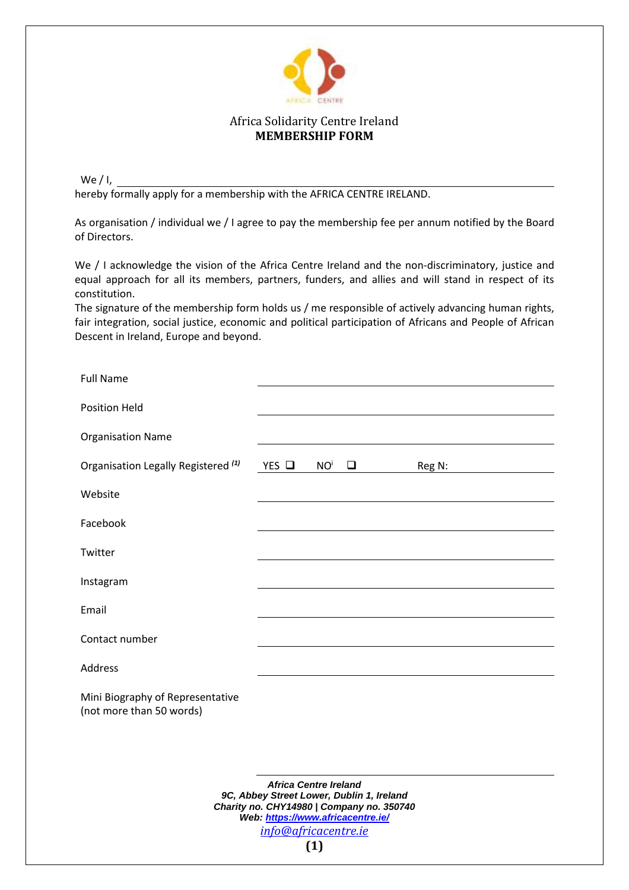

## Africa Solidarity Centre Ireland **MEMBERSHIP FORM**

We  $/$  I, hereby formally apply for a membership with the AFRICA CENTRE IRELAND.

As organisation / individual we / I agree to pay the membership fee per annum notified by the Board of Directors.

We / I acknowledge the vision of the Africa Centre Ireland and the non-discriminatory, justice and equal approach for all its members, partners, funders, and allies and will stand in respect of its constitution.

The signature of the membership form holds us / me responsible of actively advancing human rights, fair integration, social justice, economic and political participation of Africans and People of African Descent in Ireland, Europe and beyond.

| <b>Full Name</b>                                             |              |                           |        |  |
|--------------------------------------------------------------|--------------|---------------------------|--------|--|
| Position Held                                                |              |                           |        |  |
| <b>Organisation Name</b>                                     |              |                           |        |  |
| Organisation Legally Registered <sup>(1)</sup>               | $YES$ $\Box$ | NO <sup>i</sup><br>$\Box$ | Reg N: |  |
| Website                                                      |              |                           |        |  |
| Facebook                                                     |              |                           |        |  |
| Twitter                                                      |              |                           |        |  |
| Instagram                                                    |              |                           |        |  |
| Email                                                        |              |                           |        |  |
| Contact number                                               |              |                           |        |  |
| Address                                                      |              |                           |        |  |
| Mini Biography of Representative<br>(not more than 50 words) |              |                           |        |  |